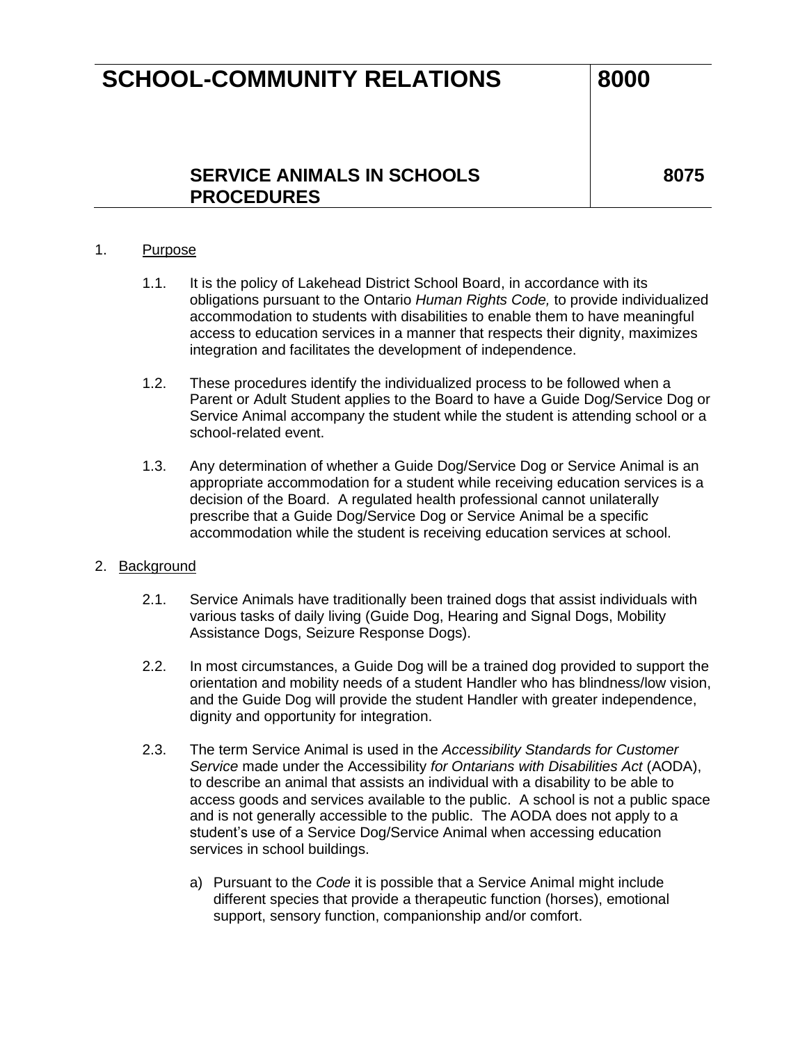### **SERVICE ANIMALS IN SCHOOLS PROCEDURES**

**8075**

### 1. Purpose

- 1.1. It is the policy of Lakehead District School Board, in accordance with its obligations pursuant to the Ontario *Human Rights Code,* to provide individualized accommodation to students with disabilities to enable them to have meaningful access to education services in a manner that respects their dignity, maximizes integration and facilitates the development of independence.
- 1.2. These procedures identify the individualized process to be followed when a Parent or Adult Student applies to the Board to have a Guide Dog/Service Dog or Service Animal accompany the student while the student is attending school or a school-related event.
- 1.3. Any determination of whether a Guide Dog/Service Dog or Service Animal is an appropriate accommodation for a student while receiving education services is a decision of the Board. A regulated health professional cannot unilaterally prescribe that a Guide Dog/Service Dog or Service Animal be a specific accommodation while the student is receiving education services at school.

#### 2. Background

- 2.1. Service Animals have traditionally been trained dogs that assist individuals with various tasks of daily living (Guide Dog, Hearing and Signal Dogs, Mobility Assistance Dogs, Seizure Response Dogs).
- 2.2. In most circumstances, a Guide Dog will be a trained dog provided to support the orientation and mobility needs of a student Handler who has blindness/low vision, and the Guide Dog will provide the student Handler with greater independence, dignity and opportunity for integration.
- 2.3. The term Service Animal is used in the *Accessibility Standards for Customer Service* made under the Accessibility *for Ontarians with Disabilities Act* (AODA), to describe an animal that assists an individual with a disability to be able to access goods and services available to the public. A school is not a public space and is not generally accessible to the public. The AODA does not apply to a student's use of a Service Dog/Service Animal when accessing education services in school buildings.
	- a) Pursuant to the *Code* it is possible that a Service Animal might include different species that provide a therapeutic function (horses), emotional support, sensory function, companionship and/or comfort.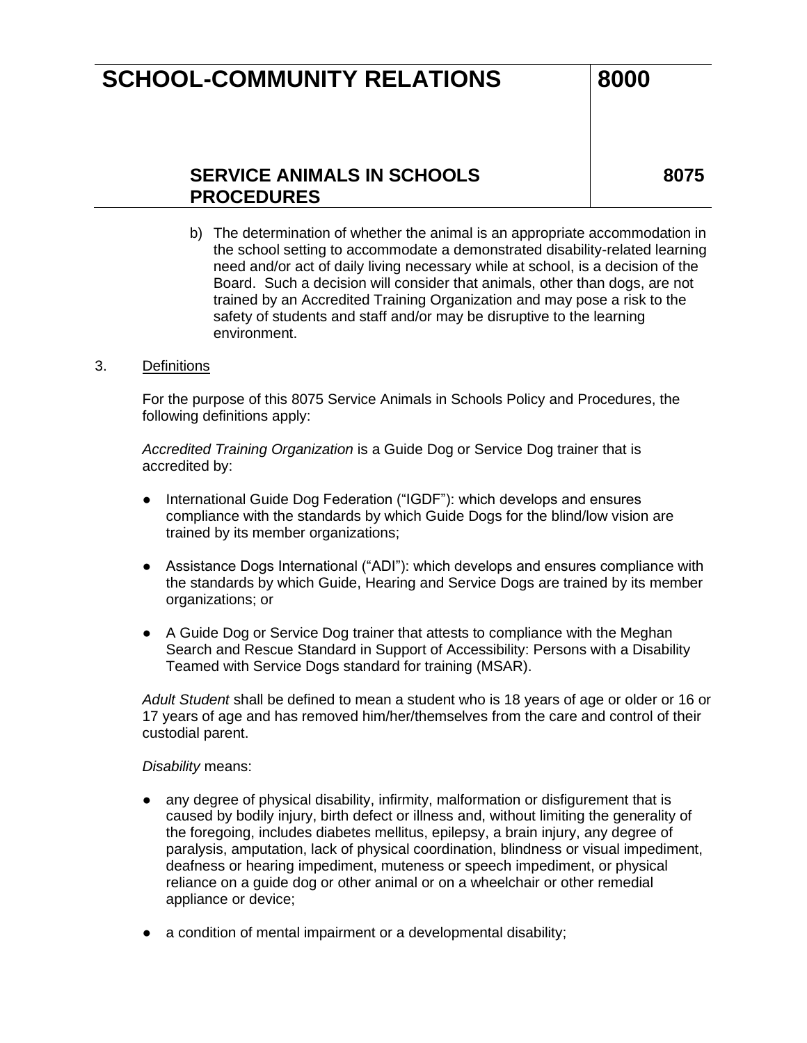## **SERVICE ANIMALS IN SCHOOLS PROCEDURES**

**8075**

b) The determination of whether the animal is an appropriate accommodation in the school setting to accommodate a demonstrated disability-related learning need and/or act of daily living necessary while at school, is a decision of the Board. Such a decision will consider that animals, other than dogs, are not trained by an Accredited Training Organization and may pose a risk to the safety of students and staff and/or may be disruptive to the learning environment.

#### 3. Definitions

For the purpose of this 8075 Service Animals in Schools Policy and Procedures, the following definitions apply:

*Accredited Training Organization* is a Guide Dog or Service Dog trainer that is accredited by:

- International Guide Dog Federation ("IGDF"): which develops and ensures compliance with the standards by which Guide Dogs for the blind/low vision are trained by its member organizations;
- Assistance Dogs International ("ADI"): which develops and ensures compliance with the standards by which Guide, Hearing and Service Dogs are trained by its member organizations; or
- A Guide Dog or Service Dog trainer that attests to compliance with the Meghan Search and Rescue Standard in Support of Accessibility: Persons with a Disability Teamed with Service Dogs standard for training (MSAR).

*Adult Student* shall be defined to mean a student who is 18 years of age or older or 16 or 17 years of age and has removed him/her/themselves from the care and control of their custodial parent.

#### *Disability* means:

- any degree of physical disability, infirmity, malformation or disfigurement that is caused by bodily injury, birth defect or illness and, without limiting the generality of the foregoing, includes diabetes mellitus, epilepsy, a brain injury, any degree of paralysis, amputation, lack of physical coordination, blindness or visual impediment, deafness or hearing impediment, muteness or speech impediment, or physical reliance on a guide dog or other animal or on a wheelchair or other remedial appliance or device;
- a condition of mental impairment or a developmental disability;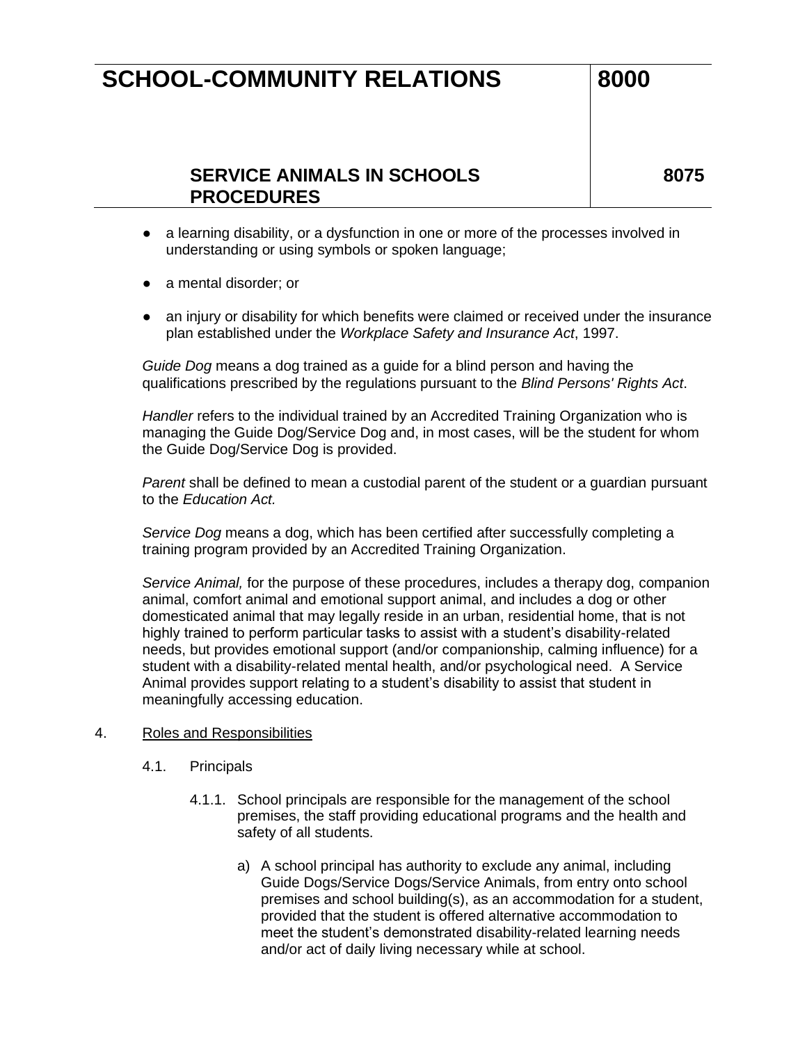### **SERVICE ANIMALS IN SCHOOLS PROCEDURES**

**8075**

- a learning disability, or a dysfunction in one or more of the processes involved in understanding or using symbols or spoken language;
- a mental disorder; or
- an injury or disability for which benefits were claimed or received under the insurance plan established under the *[Workplace Safety and Insurance Act](https://www.canlii.org/en/on/laws/stat/so-1997-c-16-sch-a/latest/so-1997-c-16-sch-a.html)*, 1997.

*Guide Dog* means a dog trained as a guide for a blind person and having the qualifications prescribed by the regulations pursuant to the *Blind Persons' Rights Act*.

*Handler* refers to the individual trained by an Accredited Training Organization who is managing the Guide Dog/Service Dog and, in most cases, will be the student for whom the Guide Dog/Service Dog is provided.

*Parent* shall be defined to mean a custodial parent of the student or a guardian pursuant to the *Education Act.*

*Service Dog* means a dog, which has been certified after successfully completing a training program provided by an Accredited Training Organization.

*Service Animal,* for the purpose of these procedures, includes a therapy dog, companion animal, comfort animal and emotional support animal, and includes a dog or other domesticated animal that may legally reside in an urban, residential home, that is not highly trained to perform particular tasks to assist with a student's disability-related needs, but provides emotional support (and/or companionship, calming influence) for a student with a disability-related mental health, and/or psychological need. A Service Animal provides support relating to a student's disability to assist that student in meaningfully accessing education.

#### 4. Roles and Responsibilities

- 4.1. Principals
	- 4.1.1. School principals are responsible for the management of the school premises, the staff providing educational programs and the health and safety of all students.
		- a) A school principal has authority to exclude any animal, including Guide Dogs/Service Dogs/Service Animals, from entry onto school premises and school building(s), as an accommodation for a student, provided that the student is offered alternative accommodation to meet the student's demonstrated disability-related learning needs and/or act of daily living necessary while at school.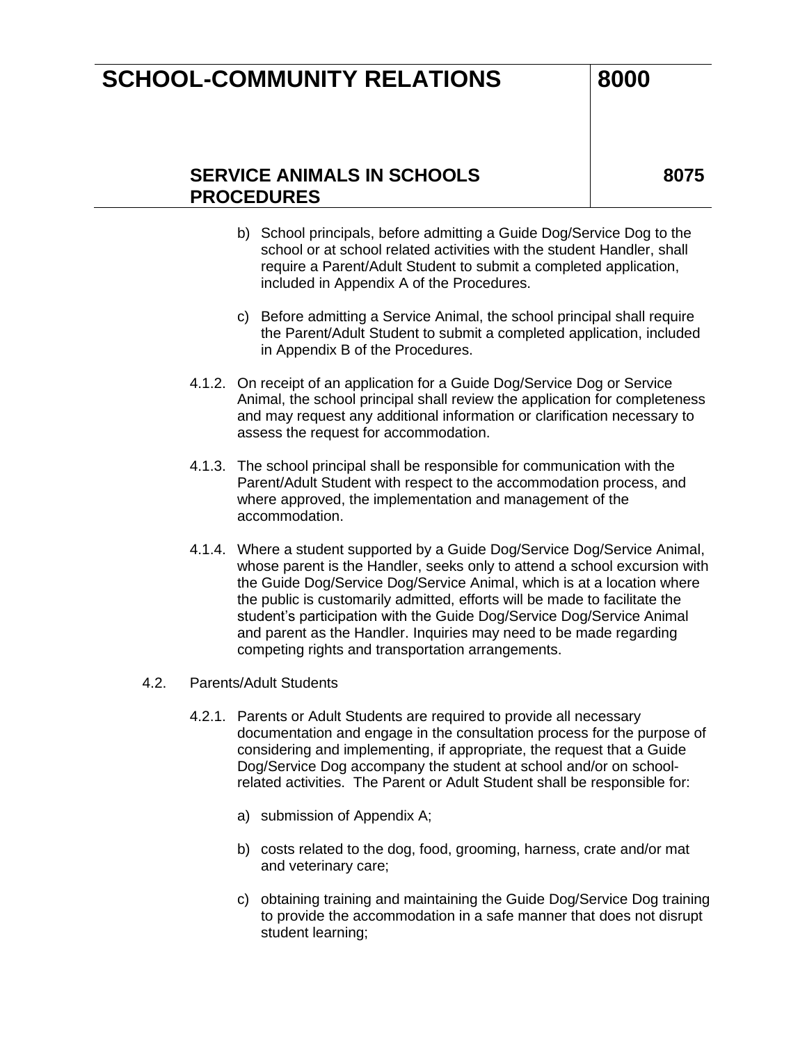### **SERVICE ANIMALS IN SCHOOLS PROCEDURES**

**8075**

- b) School principals, before admitting a Guide Dog/Service Dog to the school or at school related activities with the student Handler, shall require a Parent/Adult Student to submit a completed application, included in Appendix A of the Procedures.
- c) Before admitting a Service Animal, the school principal shall require the Parent/Adult Student to submit a completed application, included in Appendix B of the Procedures.
- 4.1.2. On receipt of an application for a Guide Dog/Service Dog or Service Animal, the school principal shall review the application for completeness and may request any additional information or clarification necessary to assess the request for accommodation.
- 4.1.3. The school principal shall be responsible for communication with the Parent/Adult Student with respect to the accommodation process, and where approved, the implementation and management of the accommodation.
- 4.1.4. Where a student supported by a Guide Dog/Service Dog/Service Animal, whose parent is the Handler, seeks only to attend a school excursion with the Guide Dog/Service Dog/Service Animal, which is at a location where the public is customarily admitted, efforts will be made to facilitate the student's participation with the Guide Dog/Service Dog/Service Animal and parent as the Handler. Inquiries may need to be made regarding competing rights and transportation arrangements.
- 4.2. Parents/Adult Students
	- 4.2.1. Parents or Adult Students are required to provide all necessary documentation and engage in the consultation process for the purpose of considering and implementing, if appropriate, the request that a Guide Dog/Service Dog accompany the student at school and/or on schoolrelated activities. The Parent or Adult Student shall be responsible for:
		- a) submission of Appendix A;
		- b) costs related to the dog, food, grooming, harness, crate and/or mat and veterinary care;
		- c) obtaining training and maintaining the Guide Dog/Service Dog training to provide the accommodation in a safe manner that does not disrupt student learning;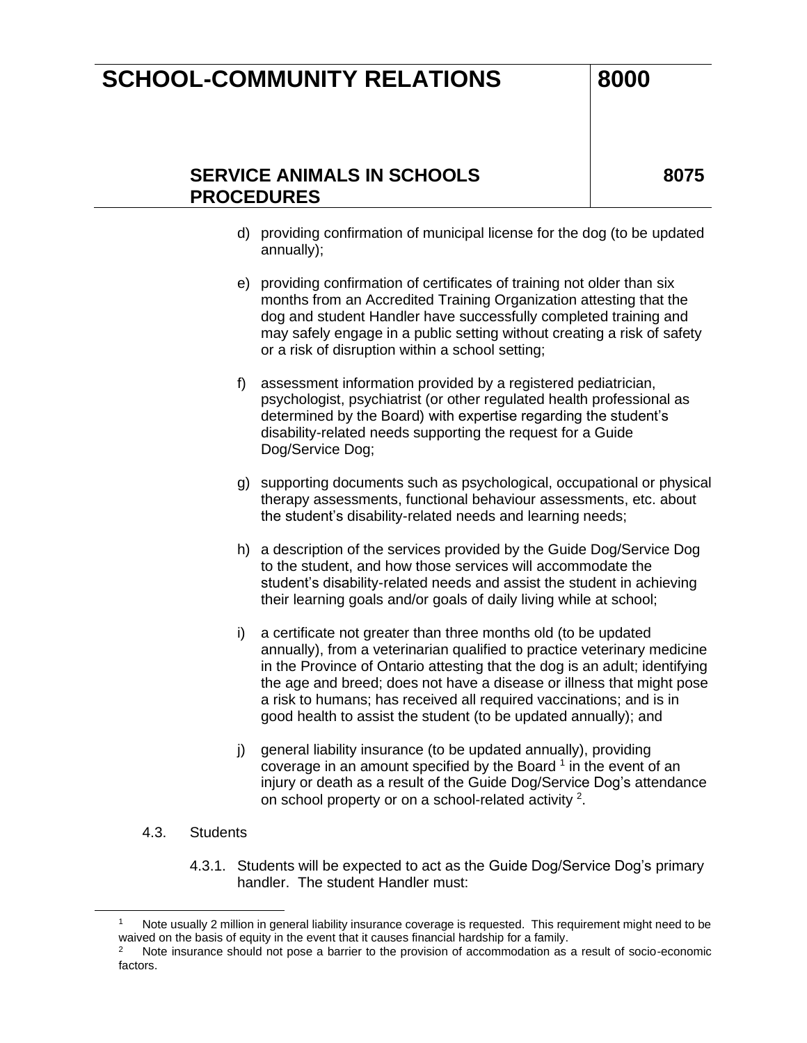### **SERVICE ANIMALS IN SCHOOLS PROCEDURES**

**8075**

- d) providing confirmation of municipal license for the dog (to be updated annually);
- e) providing confirmation of certificates of training not older than six months from an Accredited Training Organization attesting that the dog and student Handler have successfully completed training and may safely engage in a public setting without creating a risk of safety or a risk of disruption within a school setting;
- f) assessment information provided by a registered pediatrician, psychologist, psychiatrist (or other regulated health professional as determined by the Board) with expertise regarding the student's disability-related needs supporting the request for a Guide Dog/Service Dog;
- g) supporting documents such as psychological, occupational or physical therapy assessments, functional behaviour assessments, etc. about the student's disability-related needs and learning needs;
- h) a description of the services provided by the Guide Dog/Service Dog to the student, and how those services will accommodate the student's disability-related needs and assist the student in achieving their learning goals and/or goals of daily living while at school;
- i) a certificate not greater than three months old (to be updated annually), from a veterinarian qualified to practice veterinary medicine in the Province of Ontario attesting that the dog is an adult; identifying the age and breed; does not have a disease or illness that might pose a risk to humans; has received all required vaccinations; and is in good health to assist the student (to be updated annually); and
- j) general liability insurance (to be updated annually), providing coverage in an amount specified by the Board  $1$  in the event of an injury or death as a result of the Guide Dog/Service Dog's attendance on school property or on a school-related activity  $2$ .

### 4.3. Students

4.3.1. Students will be expected to act as the Guide Dog/Service Dog's primary handler. The student Handler must:

Note usually 2 million in general liability insurance coverage is requested. This requirement might need to be waived on the basis of equity in the event that it causes financial hardship for a family.

Note insurance should not pose a barrier to the provision of accommodation as a result of socio-economic factors.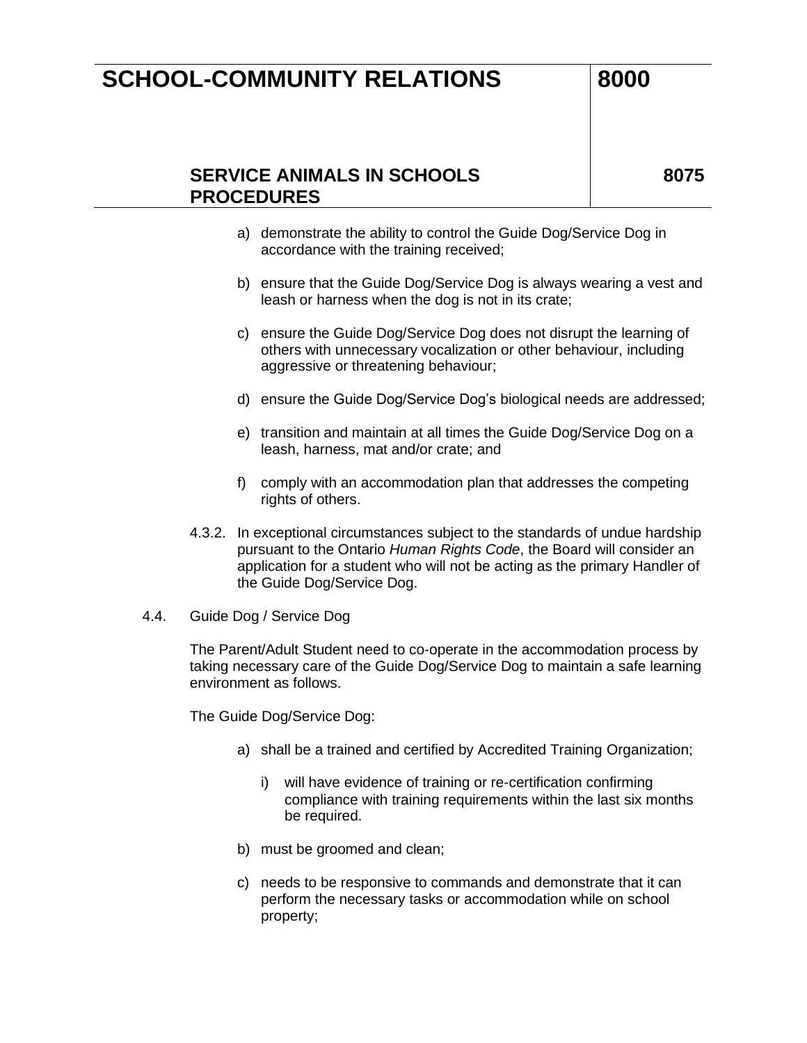### **SERVICE ANIMALS IN SCHOOLS PROCEDURES**

**8075**

- a) demonstrate the ability to control the Guide Dog/Service Dog in accordance with the training received;
- b) ensure that the Guide Dog/Service Dog is always wearing a vest and leash or harness when the dog is not in its crate;
- c) ensure the Guide Dog/Service Dog does not disrupt the learning of others with unnecessary vocalization or other behaviour, including aggressive or threatening behaviour;
- d) ensure the Guide Dog/Service Dog's biological needs are addressed;
- e) transition and maintain at all times the Guide Dog/Service Dog on a leash, harness, mat and/or crate; and
- f) comply with an accommodation plan that addresses the competing rights of others.
- 4.3.2. In exceptional circumstances subject to the standards of undue hardship pursuant to the Ontario *Human Rights Code*, the Board will consider an application for a student who will not be acting as the primary Handler of the Guide Dog/Service Dog.
- 4.4. Guide Dog / Service Dog

The Parent/Adult Student need to co-operate in the accommodation process by taking necessary care of the Guide Dog/Service Dog to maintain a safe learning environment as follows.

The Guide Dog/Service Dog:

- a) shall be a trained and certified by Accredited Training Organization;
	- i) will have evidence of training or re-certification confirming compliance with training requirements within the last six months be required.
- b) must be groomed and clean;
- c) needs to be responsive to commands and demonstrate that it can perform the necessary tasks or accommodation while on school property;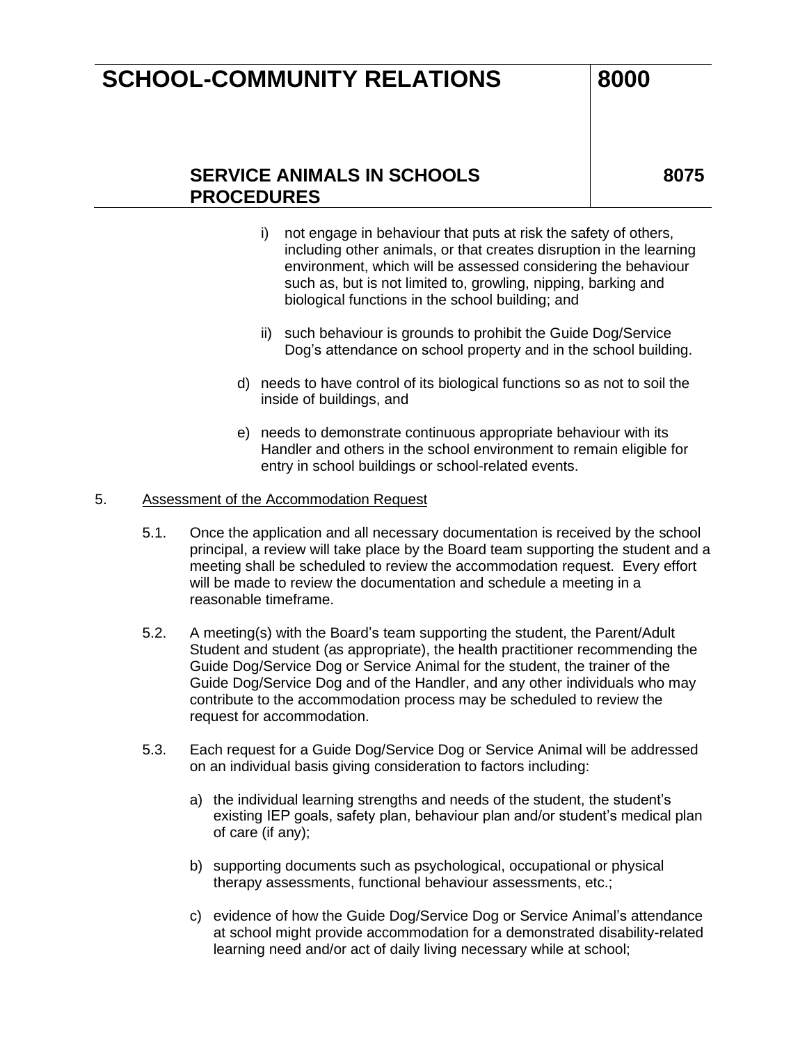### **SERVICE ANIMALS IN SCHOOLS PROCEDURES**

**8075**

- i) not engage in behaviour that puts at risk the safety of others, including other animals, or that creates disruption in the learning environment, which will be assessed considering the behaviour such as, but is not limited to, growling, nipping, barking and biological functions in the school building; and
- ii) such behaviour is grounds to prohibit the Guide Dog/Service Dog's attendance on school property and in the school building.
- d) needs to have control of its biological functions so as not to soil the inside of buildings, and
- e) needs to demonstrate continuous appropriate behaviour with its Handler and others in the school environment to remain eligible for entry in school buildings or school-related events.

#### 5. Assessment of the Accommodation Request

- 5.1. Once the application and all necessary documentation is received by the school principal, a review will take place by the Board team supporting the student and a meeting shall be scheduled to review the accommodation request. Every effort will be made to review the documentation and schedule a meeting in a reasonable timeframe.
- 5.2. A meeting(s) with the Board's team supporting the student, the Parent/Adult Student and student (as appropriate), the health practitioner recommending the Guide Dog/Service Dog or Service Animal for the student, the trainer of the Guide Dog/Service Dog and of the Handler, and any other individuals who may contribute to the accommodation process may be scheduled to review the request for accommodation.
- 5.3. Each request for a Guide Dog/Service Dog or Service Animal will be addressed on an individual basis giving consideration to factors including:
	- a) the individual learning strengths and needs of the student, the student's existing IEP goals, safety plan, behaviour plan and/or student's medical plan of care (if any);
	- b) supporting documents such as psychological, occupational or physical therapy assessments, functional behaviour assessments, etc.;
	- c) evidence of how the Guide Dog/Service Dog or Service Animal's attendance at school might provide accommodation for a demonstrated disability-related learning need and/or act of daily living necessary while at school;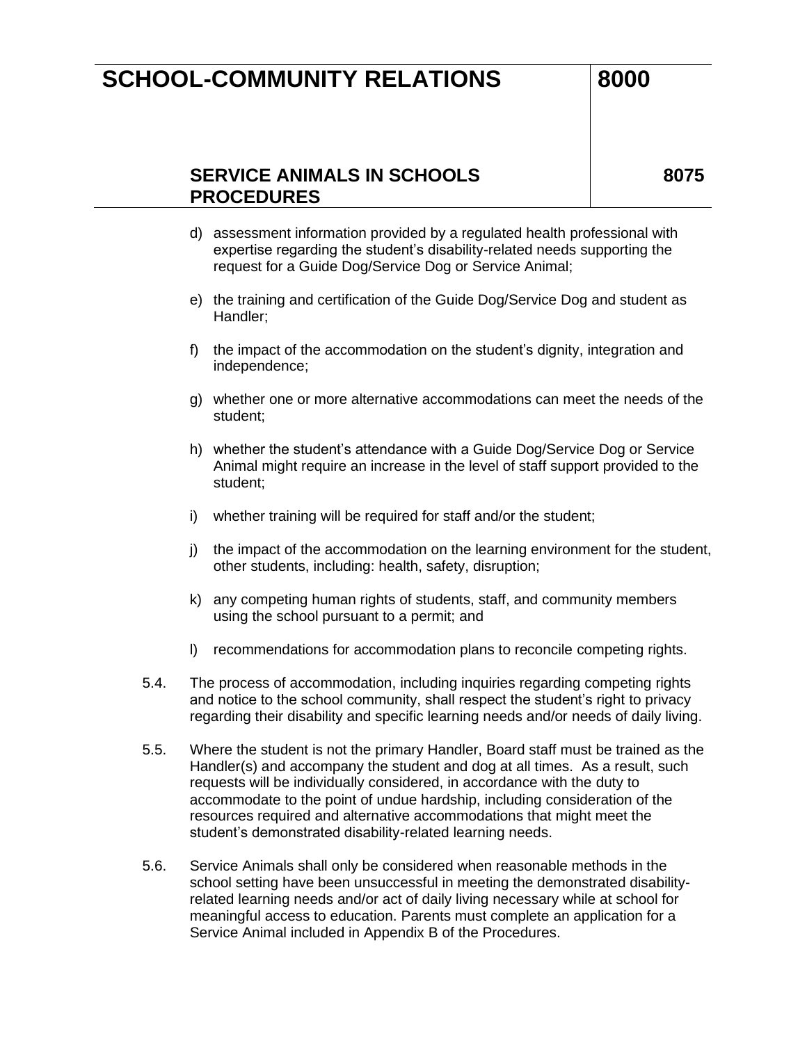### **SERVICE ANIMALS IN SCHOOLS PROCEDURES**

**8075**

- d) assessment information provided by a regulated health professional with expertise regarding the student's disability-related needs supporting the request for a Guide Dog/Service Dog or Service Animal;
- e) the training and certification of the Guide Dog/Service Dog and student as Handler;
- f) the impact of the accommodation on the student's dignity, integration and independence;
- g) whether one or more alternative accommodations can meet the needs of the student;
- h) whether the student's attendance with a Guide Dog/Service Dog or Service Animal might require an increase in the level of staff support provided to the student;
- i) whether training will be required for staff and/or the student;
- j) the impact of the accommodation on the learning environment for the student, other students, including: health, safety, disruption;
- k) any competing human rights of students, staff, and community members using the school pursuant to a permit; and
- l) recommendations for accommodation plans to reconcile competing rights.
- 5.4. The process of accommodation, including inquiries regarding competing rights and notice to the school community, shall respect the student's right to privacy regarding their disability and specific learning needs and/or needs of daily living.
- 5.5. Where the student is not the primary Handler, Board staff must be trained as the Handler(s) and accompany the student and dog at all times. As a result, such requests will be individually considered, in accordance with the duty to accommodate to the point of undue hardship, including consideration of the resources required and alternative accommodations that might meet the student's demonstrated disability-related learning needs.
- 5.6. Service Animals shall only be considered when reasonable methods in the school setting have been unsuccessful in meeting the demonstrated disabilityrelated learning needs and/or act of daily living necessary while at school for meaningful access to education. Parents must complete an application for a Service Animal included in Appendix B of the Procedures.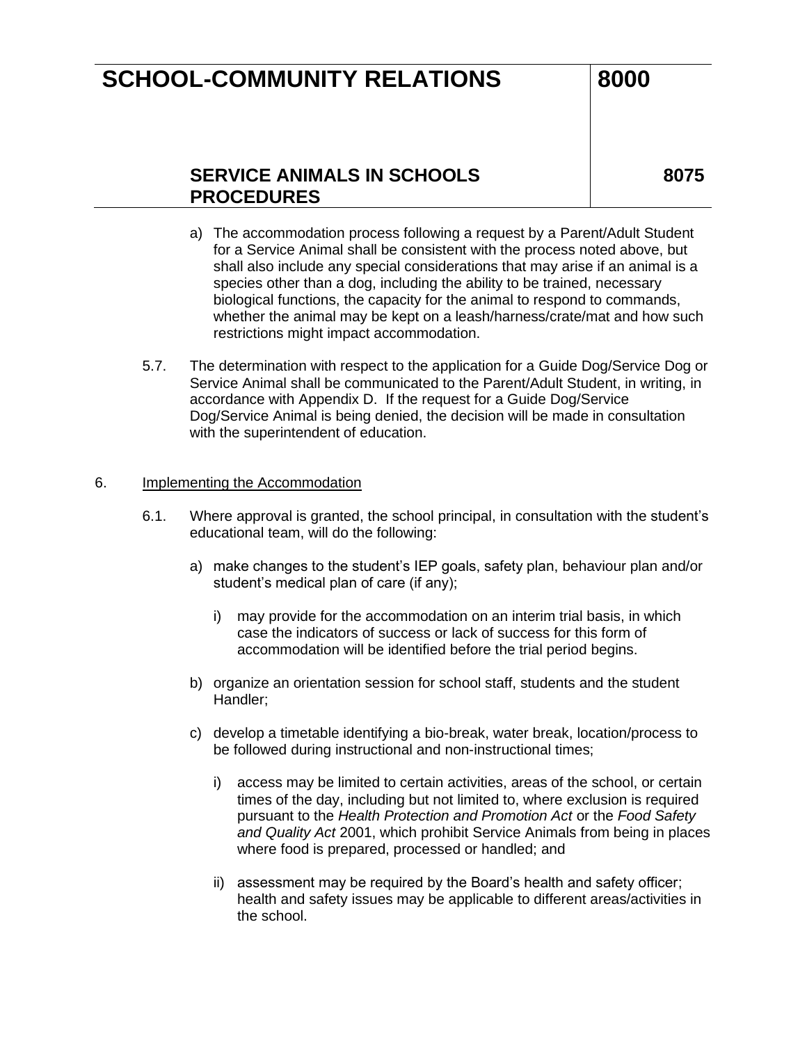## **SERVICE ANIMALS IN SCHOOLS PROCEDURES**

**8075**

- a) The accommodation process following a request by a Parent/Adult Student for a Service Animal shall be consistent with the process noted above, but shall also include any special considerations that may arise if an animal is a species other than a dog, including the ability to be trained, necessary biological functions, the capacity for the animal to respond to commands, whether the animal may be kept on a leash/harness/crate/mat and how such restrictions might impact accommodation.
- 5.7. The determination with respect to the application for a Guide Dog/Service Dog or Service Animal shall be communicated to the Parent/Adult Student, in writing, in accordance with Appendix D. If the request for a Guide Dog/Service Dog/Service Animal is being denied, the decision will be made in consultation with the superintendent of education.

#### 6. Implementing the Accommodation

- 6.1. Where approval is granted, the school principal, in consultation with the student's educational team, will do the following:
	- a) make changes to the student's IEP goals, safety plan, behaviour plan and/or student's medical plan of care (if any);
		- i) may provide for the accommodation on an interim trial basis, in which case the indicators of success or lack of success for this form of accommodation will be identified before the trial period begins.
	- b) organize an orientation session for school staff, students and the student Handler;
	- c) develop a timetable identifying a bio-break, water break, location/process to be followed during instructional and non-instructional times;
		- i) access may be limited to certain activities, areas of the school, or certain times of the day, including but not limited to, where exclusion is required pursuant to the *Health Protection and Promotion Act* or the *Food Safety and Quality Act* 2001, which prohibit Service Animals from being in places where food is prepared, processed or handled; and
		- ii) assessment may be required by the Board's health and safety officer; health and safety issues may be applicable to different areas/activities in the school.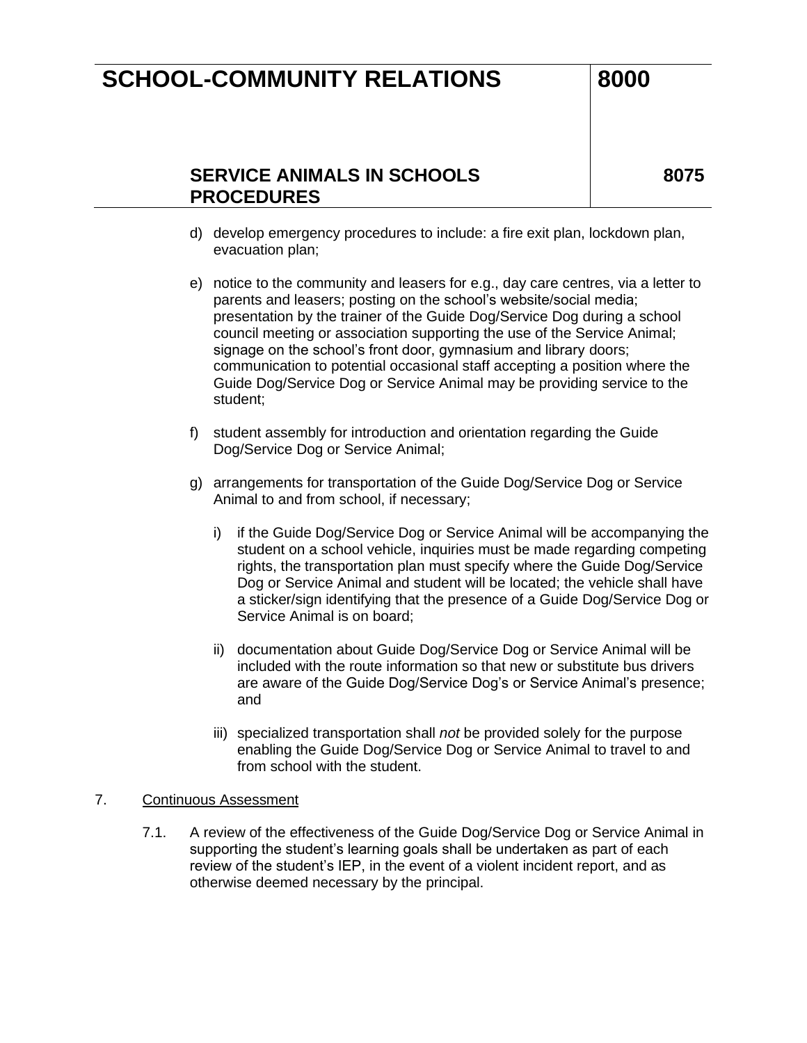### **SERVICE ANIMALS IN SCHOOLS PROCEDURES**

**8075**

- d) develop emergency procedures to include: a fire exit plan, lockdown plan, evacuation plan;
- e) notice to the community and leasers for e.g., day care centres, via a letter to parents and leasers; posting on the school's website/social media; presentation by the trainer of the Guide Dog/Service Dog during a school council meeting or association supporting the use of the Service Animal; signage on the school's front door, gymnasium and library doors; communication to potential occasional staff accepting a position where the Guide Dog/Service Dog or Service Animal may be providing service to the student;
- f) student assembly for introduction and orientation regarding the Guide Dog/Service Dog or Service Animal;
- g) arrangements for transportation of the Guide Dog/Service Dog or Service Animal to and from school, if necessary;
	- i) if the Guide Dog/Service Dog or Service Animal will be accompanying the student on a school vehicle, inquiries must be made regarding competing rights, the transportation plan must specify where the Guide Dog/Service Dog or Service Animal and student will be located; the vehicle shall have a sticker/sign identifying that the presence of a Guide Dog/Service Dog or Service Animal is on board;
	- ii) documentation about Guide Dog/Service Dog or Service Animal will be included with the route information so that new or substitute bus drivers are aware of the Guide Dog/Service Dog's or Service Animal's presence; and
	- iii) specialized transportation shall *not* be provided solely for the purpose enabling the Guide Dog/Service Dog or Service Animal to travel to and from school with the student.

### 7. Continuous Assessment

7.1. A review of the effectiveness of the Guide Dog/Service Dog or Service Animal in supporting the student's learning goals shall be undertaken as part of each review of the student's IEP, in the event of a violent incident report, and as otherwise deemed necessary by the principal.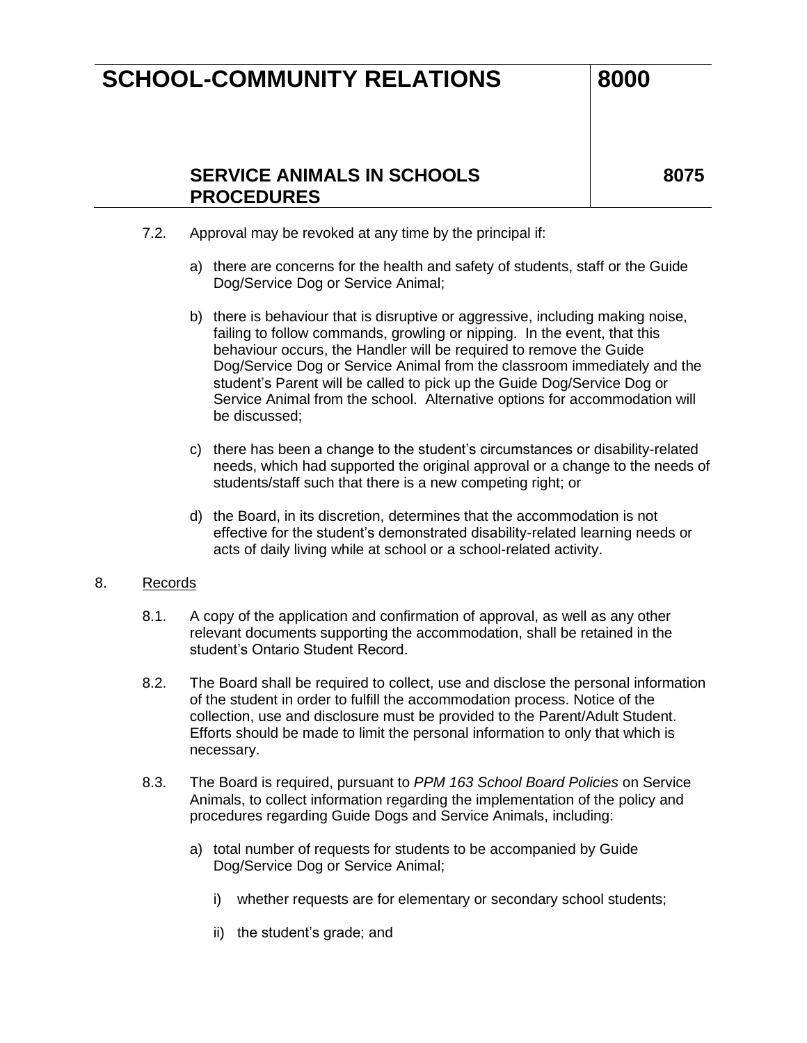### **SERVICE ANIMALS IN SCHOOLS PROCEDURES**

**8075**

- 7.2. Approval may be revoked at any time by the principal if:
	- a) there are concerns for the health and safety of students, staff or the Guide Dog/Service Dog or Service Animal;
	- b) there is behaviour that is disruptive or aggressive, including making noise, failing to follow commands, growling or nipping. In the event, that this behaviour occurs, the Handler will be required to remove the Guide Dog/Service Dog or Service Animal from the classroom immediately and the student's Parent will be called to pick up the Guide Dog/Service Dog or Service Animal from the school. Alternative options for accommodation will be discussed;
	- c) there has been a change to the student's circumstances or disability-related needs, which had supported the original approval or a change to the needs of students/staff such that there is a new competing right; or
	- d) the Board, in its discretion, determines that the accommodation is not effective for the student's demonstrated disability-related learning needs or acts of daily living while at school or a school-related activity.

#### 8. Records

- 8.1. A copy of the application and confirmation of approval, as well as any other relevant documents supporting the accommodation, shall be retained in the student's Ontario Student Record.
- 8.2. The Board shall be required to collect, use and disclose the personal information of the student in order to fulfill the accommodation process. Notice of the collection, use and disclosure must be provided to the Parent/Adult Student. Efforts should be made to limit the personal information to only that which is necessary.
- 8.3. The Board is required, pursuant to *PPM 163 School Board Policies* on Service Animals, to collect information regarding the implementation of the policy and procedures regarding Guide Dogs and Service Animals, including:
	- a) total number of requests for students to be accompanied by Guide Dog/Service Dog or Service Animal;
		- i) whether requests are for elementary or secondary school students;
		- ii) the student's grade; and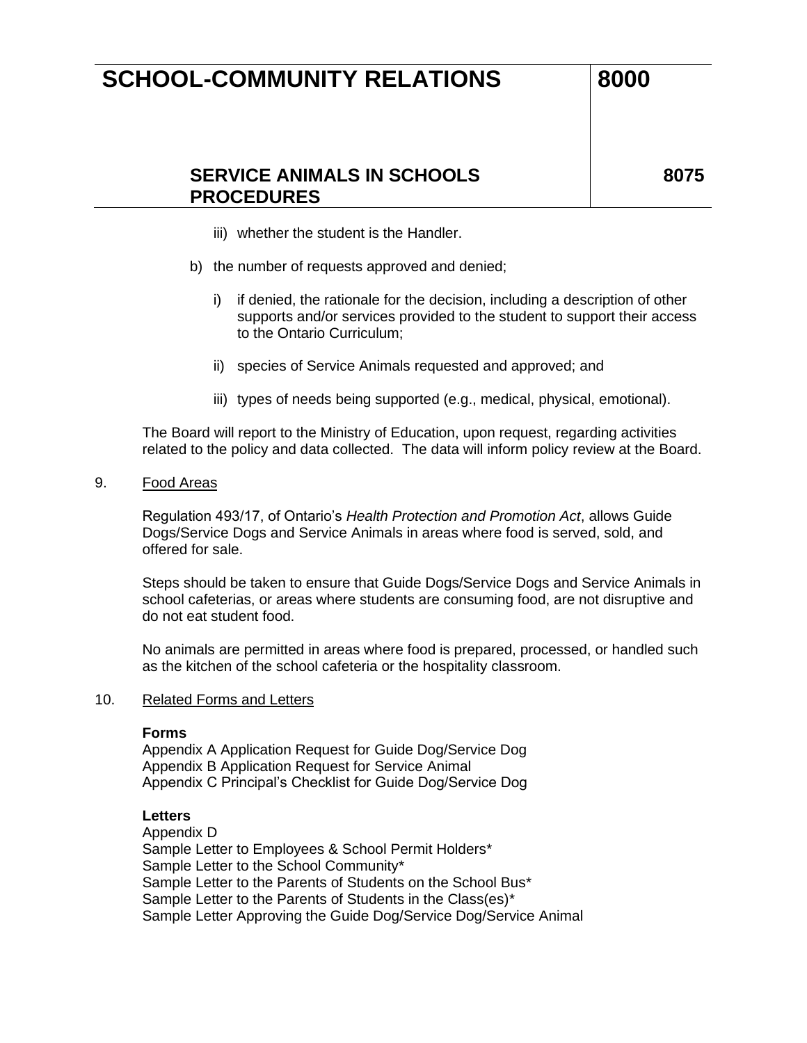### **SERVICE ANIMALS IN SCHOOLS PROCEDURES**

**8075**

- iii) whether the student is the Handler.
- b) the number of requests approved and denied;
	- i) if denied, the rationale for the decision, including a description of other supports and/or services provided to the student to support their access to the Ontario Curriculum;
	- ii) species of Service Animals requested and approved; and
	- iii) types of needs being supported (e.g., medical, physical, emotional).

The Board will report to the Ministry of Education, upon request, regarding activities related to the policy and data collected. The data will inform policy review at the Board.

9. Food Areas

Regulation 493/17, of Ontario's *Health Protection and Promotion Act*, allows Guide Dogs/Service Dogs and Service Animals in areas where food is served, sold, and offered for sale.

Steps should be taken to ensure that Guide Dogs/Service Dogs and Service Animals in school cafeterias, or areas where students are consuming food, are not disruptive and do not eat student food.

No animals are permitted in areas where food is prepared, processed, or handled such as the kitchen of the school cafeteria or the hospitality classroom.

#### 10. Related Forms and Letters

#### **Forms**

Appendix A Application Request for Guide Dog/Service Dog Appendix B Application Request for Service Animal Appendix C Principal's Checklist for Guide Dog/Service Dog

#### **Letters**

Appendix D Sample Letter to Employees & School Permit Holders\* Sample Letter to the School Community\* Sample Letter to the Parents of Students on the School Bus\* Sample Letter to the Parents of Students in the Class(es)\* Sample Letter Approving the Guide Dog/Service Dog/Service Animal